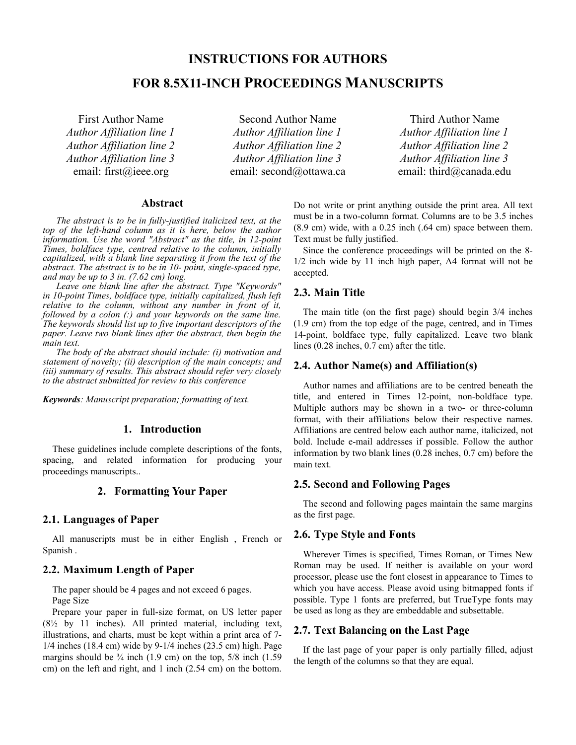# **INSTRUCTIONS FOR AUTHORS**

# **FOR 8.5X11-INCH PROCEEDINGS MANUSCRIPTS**

First Author Name *Author Affiliation line 1 Author Affiliation line 2 Author Affiliation line 3* email: first@ieee.org

Second Author Name *Author Affiliation line 1 Author Affiliation line 2 Author Affiliation line 3* email: second@ottawa.ca

Third Author Name *Author Affiliation line 1 Author Affiliation line 2 Author Affiliation line 3* email: third@canada.edu

## **Abstract**

*The abstract is to be in fully-justified italicized text, at the top of the left-hand column as it is here, below the author information. Use the word "Abstract" as the title, in 12-point Times, boldface type, centred relative to the column, initially capitalized, with a blank line separating it from the text of the abstract. The abstract is to be in 10- point, single-spaced type, and may be up to 3 in. (7.62 cm) long.*

*Leave one blank line after the abstract. Type "Keywords" in 10-point Times, boldface type, initially capitalized, flush left relative to the column, without any number in front of it, followed by a colon (:) and your keywords on the same line. The keywords should list up to five important descriptors of the paper. Leave two blank lines after the abstract, then begin the main text.*

*The body of the abstract should include: (i) motivation and statement of novelty; (ii) description of the main concepts; and (iii) summary of results. This abstract should refer very closely to the abstract submitted for review to this conference*

*Keywords: Manuscript preparation; formatting of text.*

#### **1. Introduction**

These guidelines include complete descriptions of the fonts, spacing, and related information for producing your proceedings manuscripts..

#### **2. Formatting Your Paper**

#### **2.1. Languages of Paper**

All manuscripts must be in either English , French or Spanish .

## **2.2. Maximum Length of Paper**

The paper should be 4 pages and not exceed 6 pages. Page Size

Prepare your paper in full-size format, on US letter paper  $(8\frac{1}{2}$  by 11 inches). All printed material, including text, illustrations, and charts, must be kept within a print area of 7- 1/4 inches (18.4 cm) wide by 9-1/4 inches (23.5 cm) high. Page margins should be  $\frac{3}{4}$  inch (1.9 cm) on the top, 5/8 inch (1.59 cm) on the left and right, and 1 inch (2.54 cm) on the bottom. Do not write or print anything outside the print area. All text must be in a two-column format. Columns are to be 3.5 inches (8.9 cm) wide, with a 0.25 inch (.64 cm) space between them. Text must be fully justified.

Since the conference proceedings will be printed on the 8- 1/2 inch wide by 11 inch high paper, A4 format will not be accepted.

#### **2.3. Main Title**

The main title (on the first page) should begin 3/4 inches (1.9 cm) from the top edge of the page, centred, and in Times 14-point, boldface type, fully capitalized. Leave two blank lines (0.28 inches, 0.7 cm) after the title.

#### **2.4. Author Name(s) and Affiliation(s)**

Author names and affiliations are to be centred beneath the title, and entered in Times 12-point, non-boldface type. Multiple authors may be shown in a two- or three-column format, with their affiliations below their respective names. Affiliations are centred below each author name, italicized, not bold. Include e-mail addresses if possible. Follow the author information by two blank lines (0.28 inches, 0.7 cm) before the main text.

#### **2.5. Second and Following Pages**

The second and following pages maintain the same margins as the first page.

#### **2.6. Type Style and Fonts**

Wherever Times is specified, Times Roman, or Times New Roman may be used. If neither is available on your word processor, please use the font closest in appearance to Times to which you have access. Please avoid using bitmapped fonts if possible. Type 1 fonts are preferred, but TrueType fonts may be used as long as they are embeddable and subsettable.

#### **2.7. Text Balancing on the Last Page**

If the last page of your paper is only partially filled, adjust the length of the columns so that they are equal.